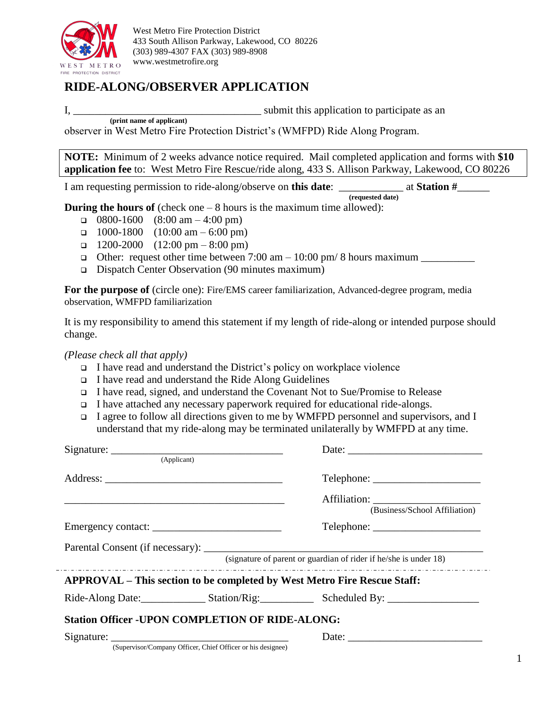

# **RIDE-ALONG/OBSERVER APPLICATION**

I,  $\frac{1}{\sqrt{1-\frac{1}{\sqrt{1-\frac{1}{\sqrt{1-\frac{1}{\sqrt{1-\frac{1}{\sqrt{1-\frac{1}{\sqrt{1-\frac{1}{\sqrt{1-\frac{1}{\sqrt{1-\frac{1}{\sqrt{1-\frac{1}{\sqrt{1-\frac{1}{\sqrt{1-\frac{1}{\sqrt{1-\frac{1}{\sqrt{1-\frac{1}{\sqrt{1-\frac{1}{\sqrt{1-\frac{1}{\sqrt{1-\frac{1}{\sqrt{1-\frac{1}{\sqrt{1-\frac{1}{\sqrt{1-\frac{1}{\sqrt{1-\frac{1}{\sqrt{1-\frac{1}{\sqrt{1-\frac{1}{\sqrt{1-\frac{1}{\sqrt{1-\frac$ **(print name of applicant)**

observer in West Metro Fire Protection District's (WMFPD) Ride Along Program.

**NOTE:** Minimum of 2 weeks advance notice required. Mail completed application and forms with **\$10 application fee** to: West Metro Fire Rescue/ride along, 433 S. Allison Parkway, Lakewood, CO 80226

I am requesting permission to ride-along/observe on **this date**: \_\_\_\_\_\_\_\_\_\_\_\_ at **Station #**\_\_\_\_\_\_

**(requested date)**

**During the hours of** (check one – 8 hours is the maximum time allowed):

- $\Box$  0800-1600 (8:00 am 4:00 pm)
- $\Box$  1000-1800 (10:00 am 6:00 pm)
- $\Box$  1200-2000 (12:00 pm 8:00 pm)
- Other: request other time between 7:00 am 10:00 pm/ 8 hours maximum
- Dispatch Center Observation (90 minutes maximum)

**For the purpose of** (circle one): Fire/EMS career familiarization, Advanced-degree program, media observation, WMFPD familiarization

It is my responsibility to amend this statement if my length of ride-along or intended purpose should change.

*(Please check all that apply)*

- I have read and understand the District's policy on workplace violence
- I have read and understand the Ride Along Guidelines
- I have read, signed, and understand the Covenant Not to Sue/Promise to Release
- I have attached any necessary paperwork required for educational ride-alongs.
- I agree to follow all directions given to me by WMFPD personnel and supervisors, and I understand that my ride-along may be terminated unilaterally by WMFPD at any time.

| (Applicant)                                                              |  |                               |  |  |  |  |
|--------------------------------------------------------------------------|--|-------------------------------|--|--|--|--|
|                                                                          |  |                               |  |  |  |  |
|                                                                          |  | (Business/School Affiliation) |  |  |  |  |
|                                                                          |  |                               |  |  |  |  |
|                                                                          |  |                               |  |  |  |  |
| (signature of parent or guardian of rider if he/she is under 18)         |  |                               |  |  |  |  |
| APPROVAL – This section to be completed by West Metro Fire Rescue Staff: |  |                               |  |  |  |  |
|                                                                          |  |                               |  |  |  |  |
| <b>Station Officer -UPON COMPLETION OF RIDE-ALONG:</b>                   |  |                               |  |  |  |  |
| (Supervisor/Company Officer, Chief Officer or his designee)              |  |                               |  |  |  |  |
|                                                                          |  |                               |  |  |  |  |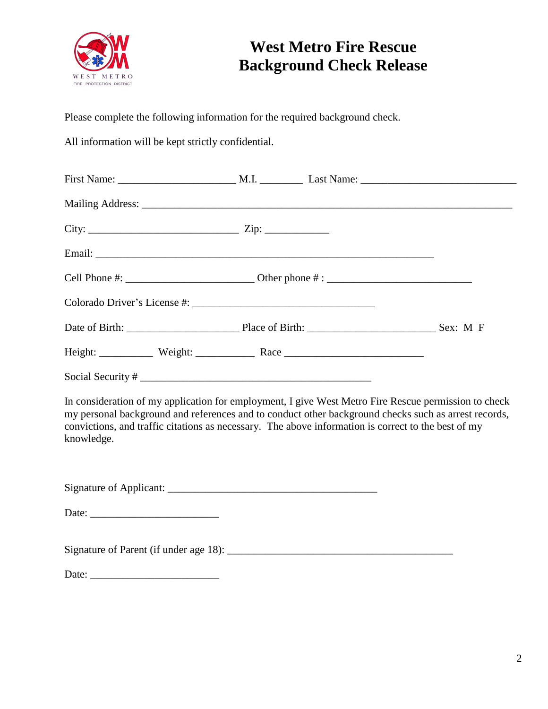

# **West Metro Fire Rescue Background Check Release**

Please complete the following information for the required background check.

All information will be kept strictly confidential.

| knowledge.          |  | convictions, and traffic citations as necessary. The above information is correct to the best of my | In consideration of my application for employment, I give West Metro Fire Rescue permission to check<br>my personal background and references and to conduct other background checks such as arrest records, |
|---------------------|--|-----------------------------------------------------------------------------------------------------|--------------------------------------------------------------------------------------------------------------------------------------------------------------------------------------------------------------|
|                     |  |                                                                                                     |                                                                                                                                                                                                              |
|                     |  |                                                                                                     |                                                                                                                                                                                                              |
|                     |  |                                                                                                     |                                                                                                                                                                                                              |
| Date: $\frac{1}{2}$ |  |                                                                                                     |                                                                                                                                                                                                              |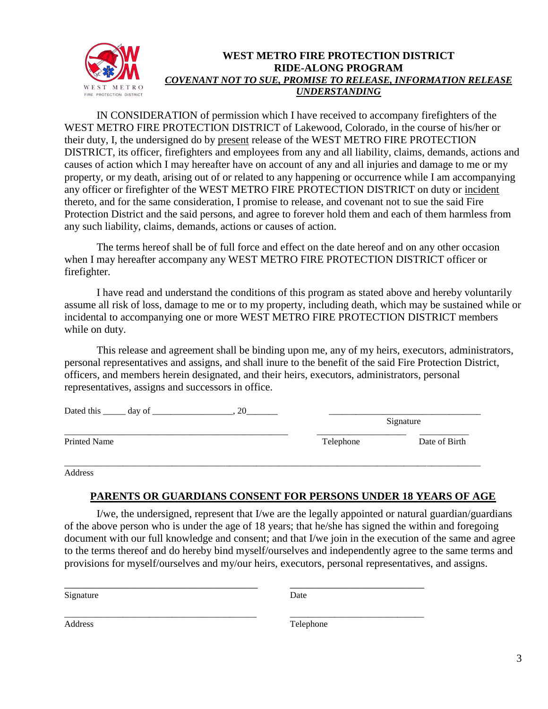

#### **WEST METRO FIRE PROTECTION DISTRICT RIDE-ALONG PROGRAM** *COVENANT NOT TO SUE, PROMISE TO RELEASE, INFORMATION RELEASE UNDERSTANDING*

IN CONSIDERATION of permission which I have received to accompany firefighters of the WEST METRO FIRE PROTECTION DISTRICT of Lakewood, Colorado, in the course of his/her or their duty, I, the undersigned do by present release of the WEST METRO FIRE PROTECTION DISTRICT, its officer, firefighters and employees from any and all liability, claims, demands, actions and causes of action which I may hereafter have on account of any and all injuries and damage to me or my property, or my death, arising out of or related to any happening or occurrence while I am accompanying any officer or firefighter of the WEST METRO FIRE PROTECTION DISTRICT on duty or incident thereto, and for the same consideration, I promise to release, and covenant not to sue the said Fire Protection District and the said persons, and agree to forever hold them and each of them harmless from any such liability, claims, demands, actions or causes of action.

The terms hereof shall be of full force and effect on the date hereof and on any other occasion when I may hereafter accompany any WEST METRO FIRE PROTECTION DISTRICT officer or firefighter.

I have read and understand the conditions of this program as stated above and hereby voluntarily assume all risk of loss, damage to me or to my property, including death, which may be sustained while or incidental to accompanying one or more WEST METRO FIRE PROTECTION DISTRICT members while on duty.

This release and agreement shall be binding upon me, any of my heirs, executors, administrators, personal representatives and assigns, and shall inure to the benefit of the said Fire Protection District, officers, and members herein designated, and their heirs, executors, administrators, personal representatives, assigns and successors in office.

| Dated this ______ day of |           | Signature     |  |
|--------------------------|-----------|---------------|--|
| <b>Printed Name</b>      | Telephone | Date of Birth |  |
|                          |           |               |  |

Address

#### **PARENTS OR GUARDIANS CONSENT FOR PERSONS UNDER 18 YEARS OF AGE**

I/we, the undersigned, represent that I/we are the legally appointed or natural guardian/guardians of the above person who is under the age of 18 years; that he/she has signed the within and foregoing document with our full knowledge and consent; and that I/we join in the execution of the same and agree to the terms thereof and do hereby bind myself/ourselves and independently agree to the same terms and provisions for myself/ourselves and my/our heirs, executors, personal representatives, and assigns.

Signature Date

\_\_\_\_\_\_\_\_\_\_\_\_\_\_\_\_\_\_\_\_\_\_\_\_\_\_\_\_\_\_\_\_\_\_\_\_ \_\_\_\_\_\_\_\_\_\_\_\_\_\_\_\_\_\_\_\_\_\_\_\_\_

\_\_\_\_\_\_\_\_\_\_\_\_\_\_\_\_\_\_\_\_\_\_\_\_\_\_\_\_\_\_\_\_\_\_\_\_\_\_\_\_\_\_\_ \_\_\_\_\_\_\_\_\_\_\_\_\_\_\_\_\_\_\_\_\_\_\_\_\_\_\_\_\_\_ Address Telephone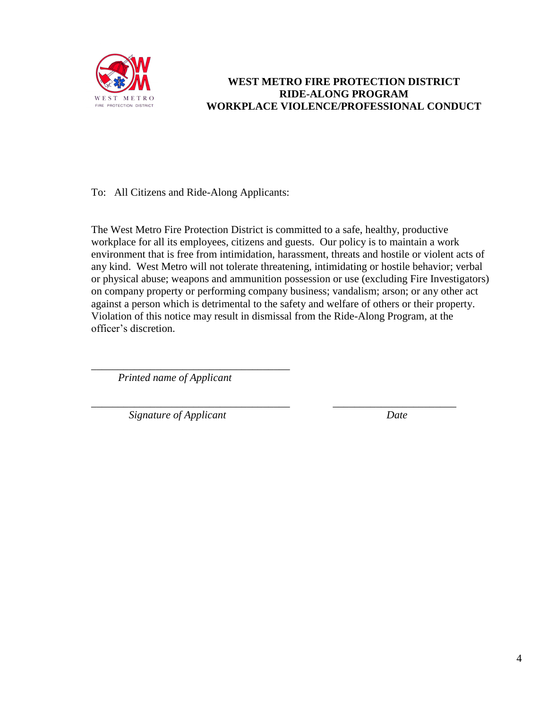

## **WEST METRO FIRE PROTECTION DISTRICT RIDE-ALONG PROGRAM WORKPLACE VIOLENCE/PROFESSIONAL CONDUCT**

To: All Citizens and Ride-Along Applicants:

The West Metro Fire Protection District is committed to a safe, healthy, productive workplace for all its employees, citizens and guests. Our policy is to maintain a work environment that is free from intimidation, harassment, threats and hostile or violent acts of any kind. West Metro will not tolerate threatening, intimidating or hostile behavior; verbal or physical abuse; weapons and ammunition possession or use (excluding Fire Investigators) on company property or performing company business; vandalism; arson; or any other act against a person which is detrimental to the safety and welfare of others or their property. Violation of this notice may result in dismissal from the Ride-Along Program, at the officer's discretion.

*Printed name of Applicant*

\_\_\_\_\_\_\_\_\_\_\_\_\_\_\_\_\_\_\_\_\_\_\_\_\_\_\_\_\_\_\_\_\_\_\_\_\_

\_\_\_\_\_\_\_\_\_\_\_\_\_\_\_\_\_\_\_\_\_\_\_\_\_\_\_\_\_\_\_\_\_\_\_\_\_ \_\_\_\_\_\_\_\_\_\_\_\_\_\_\_\_\_\_\_\_\_\_\_ *Signature of Applicant Date*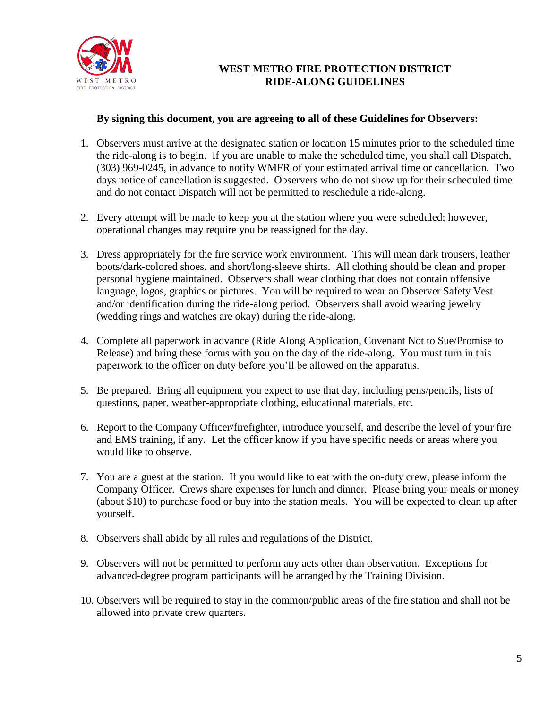

## **WEST METRO FIRE PROTECTION DISTRICT RIDE-ALONG GUIDELINES**

#### **By signing this document, you are agreeing to all of these Guidelines for Observers:**

- 1. Observers must arrive at the designated station or location 15 minutes prior to the scheduled time the ride-along is to begin. If you are unable to make the scheduled time, you shall call Dispatch, (303) 969-0245, in advance to notify WMFR of your estimated arrival time or cancellation. Two days notice of cancellation is suggested. Observers who do not show up for their scheduled time and do not contact Dispatch will not be permitted to reschedule a ride-along.
- 2. Every attempt will be made to keep you at the station where you were scheduled; however, operational changes may require you be reassigned for the day.
- 3. Dress appropriately for the fire service work environment. This will mean dark trousers, leather boots/dark-colored shoes, and short/long-sleeve shirts. All clothing should be clean and proper personal hygiene maintained. Observers shall wear clothing that does not contain offensive language, logos, graphics or pictures. You will be required to wear an Observer Safety Vest and/or identification during the ride-along period. Observers shall avoid wearing jewelry (wedding rings and watches are okay) during the ride-along.
- 4. Complete all paperwork in advance (Ride Along Application, Covenant Not to Sue/Promise to Release) and bring these forms with you on the day of the ride-along. You must turn in this paperwork to the officer on duty before you'll be allowed on the apparatus.
- 5. Be prepared. Bring all equipment you expect to use that day, including pens/pencils, lists of questions, paper, weather-appropriate clothing, educational materials, etc.
- 6. Report to the Company Officer/firefighter, introduce yourself, and describe the level of your fire and EMS training, if any. Let the officer know if you have specific needs or areas where you would like to observe.
- 7. You are a guest at the station. If you would like to eat with the on-duty crew, please inform the Company Officer. Crews share expenses for lunch and dinner. Please bring your meals or money (about \$10) to purchase food or buy into the station meals. You will be expected to clean up after yourself.
- 8. Observers shall abide by all rules and regulations of the District.
- 9. Observers will not be permitted to perform any acts other than observation. Exceptions for advanced-degree program participants will be arranged by the Training Division.
- 10. Observers will be required to stay in the common/public areas of the fire station and shall not be allowed into private crew quarters.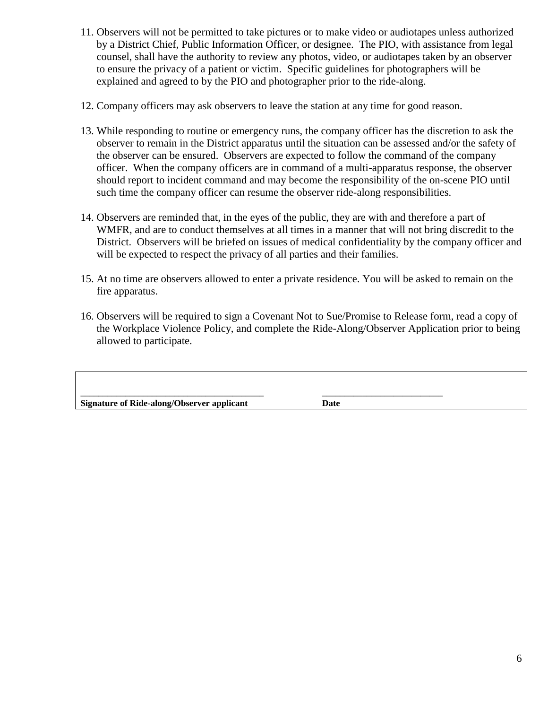- 11. Observers will not be permitted to take pictures or to make video or audiotapes unless authorized by a District Chief, Public Information Officer, or designee. The PIO, with assistance from legal counsel, shall have the authority to review any photos, video, or audiotapes taken by an observer to ensure the privacy of a patient or victim. Specific guidelines for photographers will be explained and agreed to by the PIO and photographer prior to the ride-along.
- 12. Company officers may ask observers to leave the station at any time for good reason.
- 13. While responding to routine or emergency runs, the company officer has the discretion to ask the observer to remain in the District apparatus until the situation can be assessed and/or the safety of the observer can be ensured. Observers are expected to follow the command of the company officer. When the company officers are in command of a multi-apparatus response, the observer should report to incident command and may become the responsibility of the on-scene PIO until such time the company officer can resume the observer ride-along responsibilities.
- 14. Observers are reminded that, in the eyes of the public, they are with and therefore a part of WMFR, and are to conduct themselves at all times in a manner that will not bring discredit to the District. Observers will be briefed on issues of medical confidentiality by the company officer and will be expected to respect the privacy of all parties and their families.
- 15. At no time are observers allowed to enter a private residence. You will be asked to remain on the fire apparatus.
- 16. Observers will be required to sign a Covenant Not to Sue/Promise to Release form, read a copy of the Workplace Violence Policy, and complete the Ride-Along/Observer Application prior to being allowed to participate.

| Signature of Ride-along/Observer applicant | Date |  |
|--------------------------------------------|------|--|